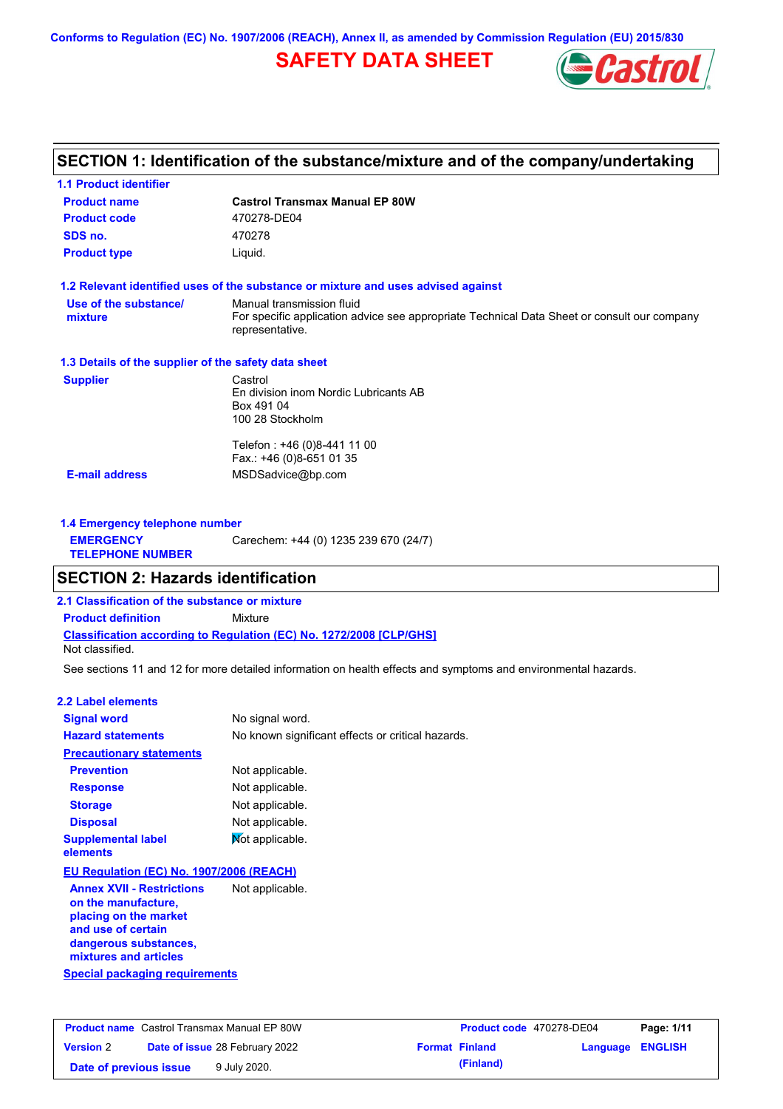**Conforms to Regulation (EC) No. 1907/2006 (REACH), Annex II, as amended by Commission Regulation (EU) 2015/830**

# **SAFETY DATA SHEET**



## **SECTION 1: Identification of the substance/mixture and of the company/undertaking**

| <b>1.1 Product identifier</b>                        |                                                                                                                                             |  |  |
|------------------------------------------------------|---------------------------------------------------------------------------------------------------------------------------------------------|--|--|
| <b>Product name</b>                                  | <b>Castrol Transmax Manual EP 80W</b>                                                                                                       |  |  |
| <b>Product code</b>                                  | 470278-DE04                                                                                                                                 |  |  |
| SDS no.                                              | 470278                                                                                                                                      |  |  |
| <b>Product type</b><br>Liquid.                       |                                                                                                                                             |  |  |
|                                                      | 1.2 Relevant identified uses of the substance or mixture and uses advised against                                                           |  |  |
| Use of the substance/<br>mixture                     | Manual transmission fluid<br>For specific application advice see appropriate Technical Data Sheet or consult our company<br>representative. |  |  |
| 1.3 Details of the supplier of the safety data sheet |                                                                                                                                             |  |  |
| <b>Supplier</b>                                      | Castrol<br>En division inom Nordic Lubricants AB<br>Box 491 04<br>100 28 Stockholm                                                          |  |  |
| <b>E-mail address</b>                                | Telefon: +46 (0)8-441 11 00<br>Fax.: +46 (0)8-651 01 35<br>MSDSadvice@bp.com                                                                |  |  |
|                                                      |                                                                                                                                             |  |  |
| 1.4 Emergency telephone number                       |                                                                                                                                             |  |  |
| <b>EMERGENCY</b><br><b>TELEPHONE NUMBER</b>          | Carechem: +44 (0) 1235 239 670 (24/7)                                                                                                       |  |  |

## **SECTION 2: Hazards identification**

**2.1 Classification of the substance or mixture**

**Classification according to Regulation (EC) No. 1272/2008 [CLP/GHS] Product definition** Mixture

Not classified.

See sections 11 and 12 for more detailed information on health effects and symptoms and environmental hazards.

## **2.2 Label elements**

| <b>Signal word</b>                                                                                                                                       | No signal word.                                   |
|----------------------------------------------------------------------------------------------------------------------------------------------------------|---------------------------------------------------|
| <b>Hazard statements</b>                                                                                                                                 | No known significant effects or critical hazards. |
| <b>Precautionary statements</b>                                                                                                                          |                                                   |
| <b>Prevention</b>                                                                                                                                        | Not applicable.                                   |
| <b>Response</b>                                                                                                                                          | Not applicable.                                   |
| <b>Storage</b>                                                                                                                                           | Not applicable.                                   |
| <b>Disposal</b>                                                                                                                                          | Not applicable.                                   |
| <b>Supplemental label</b><br>elements                                                                                                                    | Mot applicable.                                   |
| EU Regulation (EC) No. 1907/2006 (REACH)                                                                                                                 |                                                   |
| <b>Annex XVII - Restrictions</b><br>on the manufacture,<br>placing on the market<br>and use of certain<br>dangerous substances,<br>mixtures and articles | Not applicable.                                   |
| Special packaging requirements                                                                                                                           |                                                   |

| <b>Product name</b> Castrol Transmax Manual EP 80W |  |                                       | <b>Product code</b> 470278-DE04 |                       | Page: 1/11       |  |
|----------------------------------------------------|--|---------------------------------------|---------------------------------|-----------------------|------------------|--|
| <b>Version 2</b>                                   |  | <b>Date of issue 28 February 2022</b> |                                 | <b>Format Finland</b> | Language ENGLISH |  |
| Date of previous issue                             |  | 9 July 2020.                          |                                 | (Finland)             |                  |  |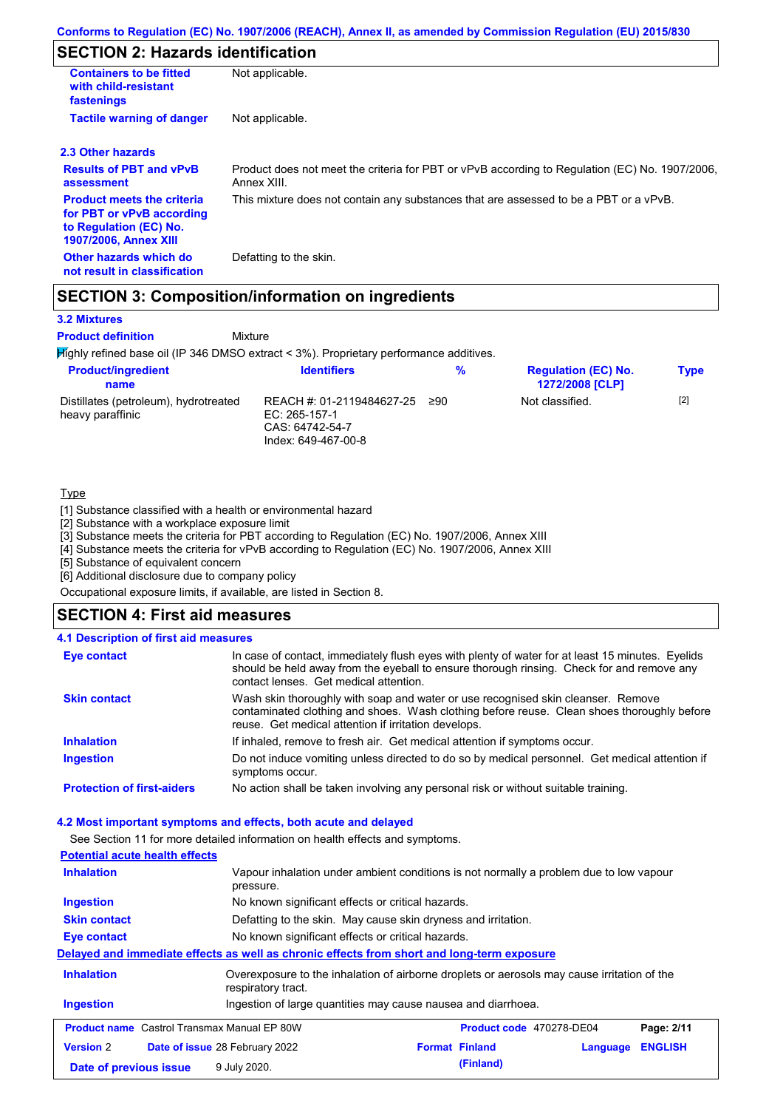# **SECTION 2: Hazards identification**

| <b>Containers to be fitted</b><br>with child-resistant<br>fastenings                                                     | Not applicable.                                                                                               |
|--------------------------------------------------------------------------------------------------------------------------|---------------------------------------------------------------------------------------------------------------|
| <b>Tactile warning of danger</b>                                                                                         | Not applicable.                                                                                               |
| 2.3 Other hazards                                                                                                        |                                                                                                               |
| <b>Results of PBT and vPvB</b><br>assessment                                                                             | Product does not meet the criteria for PBT or vPvB according to Regulation (EC) No. 1907/2006,<br>Annex XIII. |
| <b>Product meets the criteria</b><br>for PBT or vPvB according<br>to Regulation (EC) No.<br><b>1907/2006, Annex XIII</b> | This mixture does not contain any substances that are assessed to be a PBT or a vPvB.                         |
| Other hazards which do<br>not result in classification                                                                   | Defatting to the skin.                                                                                        |

## **SECTION 3: Composition/information on ingredients**

Mixture

## **3.2 Mixtures**

**Product definition**

Highly refined base oil (IP 346 DMSO extract < 3%). Proprietary performance additives.

| <b>Product/ingredient</b><br>name                         | <b>Identifiers</b>                                                                   | %   | <b>Regulation (EC) No.</b><br><b>1272/2008 [CLP]</b> | <b>Type</b> |
|-----------------------------------------------------------|--------------------------------------------------------------------------------------|-----|------------------------------------------------------|-------------|
| Distillates (petroleum), hydrotreated<br>heavy paraffinic | REACH #: 01-2119484627-25<br>EC: 265-157-1<br>CAS: 64742-54-7<br>Index: 649-467-00-8 | ≥90 | Not classified.                                      | $[2]$       |

### **Type**

[1] Substance classified with a health or environmental hazard

[2] Substance with a workplace exposure limit

[3] Substance meets the criteria for PBT according to Regulation (EC) No. 1907/2006, Annex XIII

[4] Substance meets the criteria for vPvB according to Regulation (EC) No. 1907/2006, Annex XIII

[5] Substance of equivalent concern

[6] Additional disclosure due to company policy

Occupational exposure limits, if available, are listed in Section 8.

## **SECTION 4: First aid measures**

## **4.1 Description of first aid measures**

| <b>Eye contact</b>                | In case of contact, immediately flush eyes with plenty of water for at least 15 minutes. Eyelids<br>should be held away from the eyeball to ensure thorough rinsing. Check for and remove any<br>contact lenses. Get medical attention. |
|-----------------------------------|-----------------------------------------------------------------------------------------------------------------------------------------------------------------------------------------------------------------------------------------|
| <b>Skin contact</b>               | Wash skin thoroughly with soap and water or use recognised skin cleanser. Remove<br>contaminated clothing and shoes. Wash clothing before reuse. Clean shoes thoroughly before<br>reuse. Get medical attention if irritation develops.  |
| <b>Inhalation</b>                 | If inhaled, remove to fresh air. Get medical attention if symptoms occur.                                                                                                                                                               |
| <b>Ingestion</b>                  | Do not induce vomiting unless directed to do so by medical personnel. Get medical attention if<br>symptoms occur.                                                                                                                       |
| <b>Protection of first-aiders</b> | No action shall be taken involving any personal risk or without suitable training.                                                                                                                                                      |

#### **4.2 Most important symptoms and effects, both acute and delayed**

See Section 11 for more detailed information on health effects and symptoms.

| <b>Potential acute health effects</b>                                                        |                                                                                                                   |  |                       |          |                |
|----------------------------------------------------------------------------------------------|-------------------------------------------------------------------------------------------------------------------|--|-----------------------|----------|----------------|
| <b>Inhalation</b>                                                                            | Vapour inhalation under ambient conditions is not normally a problem due to low vapour<br>pressure.               |  |                       |          |                |
| Ingestion                                                                                    | No known significant effects or critical hazards.                                                                 |  |                       |          |                |
| <b>Skin contact</b>                                                                          | Defatting to the skin. May cause skin dryness and irritation.                                                     |  |                       |          |                |
| Eye contact                                                                                  | No known significant effects or critical hazards.                                                                 |  |                       |          |                |
|                                                                                              | Delayed and immediate effects as well as chronic effects from short and long-term exposure                        |  |                       |          |                |
| <b>Inhalation</b>                                                                            | Overexposure to the inhalation of airborne droplets or aerosols may cause irritation of the<br>respiratory tract. |  |                       |          |                |
| <b>Ingestion</b>                                                                             | Ingestion of large quantities may cause nausea and diarrhoea.                                                     |  |                       |          |                |
| <b>Product name</b> Castrol Transmax Manual EP 80W<br>Product code 470278-DE04<br>Page: 2/11 |                                                                                                                   |  |                       |          |                |
| <b>Version 2</b>                                                                             | <b>Date of issue 28 February 2022</b>                                                                             |  | <b>Format Finland</b> | Language | <b>ENGLISH</b> |
| Date of previous issue                                                                       | 9 July 2020.                                                                                                      |  | (Finland)             |          |                |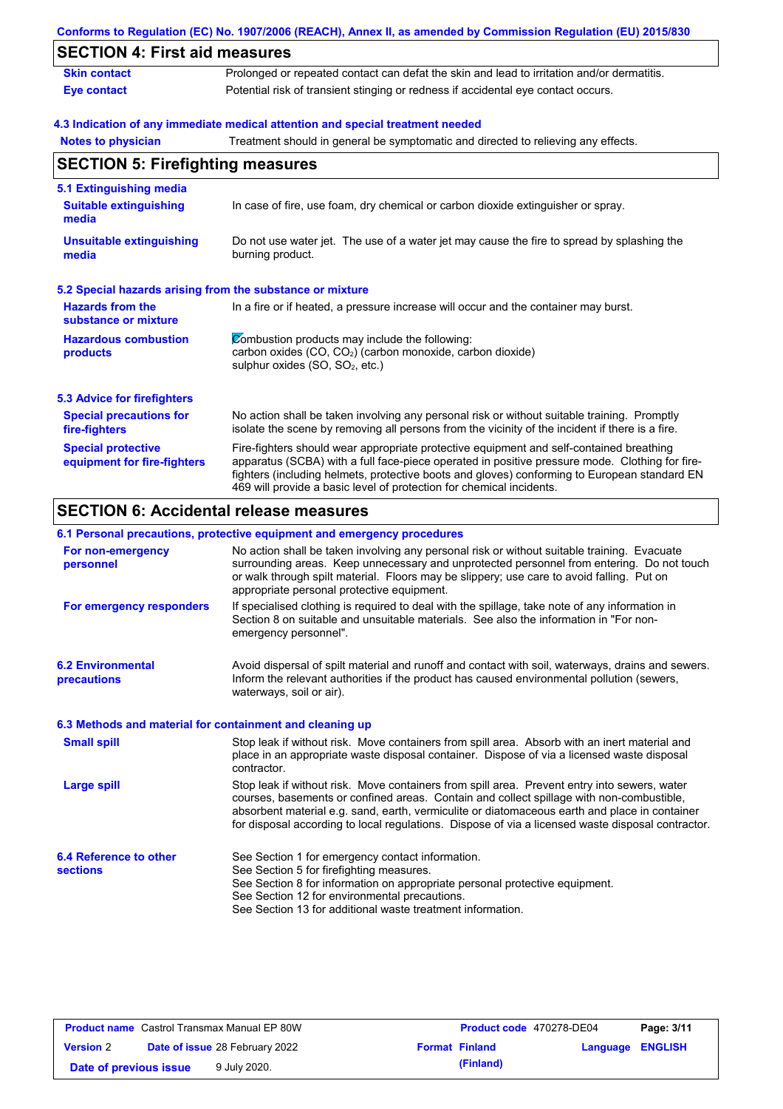|                                                           | Conforms to Regulation (EC) No. 1907/2006 (REACH), Annex II, as amended by Commission Regulation (EU) 2015/830                                                                                                                                                                                                                                                    |
|-----------------------------------------------------------|-------------------------------------------------------------------------------------------------------------------------------------------------------------------------------------------------------------------------------------------------------------------------------------------------------------------------------------------------------------------|
| <b>SECTION 4: First aid measures</b>                      |                                                                                                                                                                                                                                                                                                                                                                   |
| <b>Skin contact</b>                                       | Prolonged or repeated contact can defat the skin and lead to irritation and/or dermatitis.                                                                                                                                                                                                                                                                        |
| <b>Eye contact</b>                                        | Potential risk of transient stinging or redness if accidental eye contact occurs.                                                                                                                                                                                                                                                                                 |
|                                                           | 4.3 Indication of any immediate medical attention and special treatment needed                                                                                                                                                                                                                                                                                    |
| <b>Notes to physician</b>                                 | Treatment should in general be symptomatic and directed to relieving any effects.                                                                                                                                                                                                                                                                                 |
| <b>SECTION 5: Firefighting measures</b>                   |                                                                                                                                                                                                                                                                                                                                                                   |
| 5.1 Extinguishing media                                   |                                                                                                                                                                                                                                                                                                                                                                   |
| <b>Suitable extinguishing</b><br>media                    | In case of fire, use foam, dry chemical or carbon dioxide extinguisher or spray.                                                                                                                                                                                                                                                                                  |
| <b>Unsuitable extinguishing</b><br>media                  | Do not use water jet. The use of a water jet may cause the fire to spread by splashing the<br>burning product.                                                                                                                                                                                                                                                    |
| 5.2 Special hazards arising from the substance or mixture |                                                                                                                                                                                                                                                                                                                                                                   |
| <b>Hazards from the</b><br>substance or mixture           | In a fire or if heated, a pressure increase will occur and the container may burst.                                                                                                                                                                                                                                                                               |
| <b>Hazardous combustion</b><br>products                   | Combustion products may include the following:<br>carbon oxides (CO, CO <sub>2</sub> ) (carbon monoxide, carbon dioxide)<br>sulphur oxides (SO, SO <sub>2</sub> , etc.)                                                                                                                                                                                           |
| <b>5.3 Advice for firefighters</b>                        |                                                                                                                                                                                                                                                                                                                                                                   |
| <b>Special precautions for</b><br>fire-fighters           | No action shall be taken involving any personal risk or without suitable training. Promptly<br>isolate the scene by removing all persons from the vicinity of the incident if there is a fire.                                                                                                                                                                    |
| <b>Special protective</b><br>equipment for fire-fighters  | Fire-fighters should wear appropriate protective equipment and self-contained breathing<br>apparatus (SCBA) with a full face-piece operated in positive pressure mode. Clothing for fire-<br>fighters (including helmets, protective boots and gloves) conforming to European standard EN<br>469 will provide a basic level of protection for chemical incidents. |

### **6.1 Personal precautions, protective equipment and emergency procedures**

|                                                          | <b>b. Personal precaduons, protective equipment and emergency procedures</b>                                                                                                                                                                                                                                                                                                                   |
|----------------------------------------------------------|------------------------------------------------------------------------------------------------------------------------------------------------------------------------------------------------------------------------------------------------------------------------------------------------------------------------------------------------------------------------------------------------|
| For non-emergency<br>personnel                           | No action shall be taken involving any personal risk or without suitable training. Evacuate<br>surrounding areas. Keep unnecessary and unprotected personnel from entering. Do not touch<br>or walk through spilt material. Floors may be slippery; use care to avoid falling. Put on<br>appropriate personal protective equipment.                                                            |
| For emergency responders                                 | If specialised clothing is required to deal with the spillage, take note of any information in<br>Section 8 on suitable and unsuitable materials. See also the information in "For non-<br>emergency personnel".                                                                                                                                                                               |
| <b>6.2 Environmental</b><br>precautions                  | Avoid dispersal of spilt material and runoff and contact with soil, waterways, drains and sewers.<br>Inform the relevant authorities if the product has caused environmental pollution (sewers,<br>waterways, soil or air).                                                                                                                                                                    |
| 6.3 Methods and material for containment and cleaning up |                                                                                                                                                                                                                                                                                                                                                                                                |
| <b>Small spill</b>                                       | Stop leak if without risk. Move containers from spill area. Absorb with an inert material and<br>place in an appropriate waste disposal container. Dispose of via a licensed waste disposal<br>contractor.                                                                                                                                                                                     |
| Large spill                                              | Stop leak if without risk. Move containers from spill area. Prevent entry into sewers, water<br>courses, basements or confined areas. Contain and collect spillage with non-combustible,<br>absorbent material e.g. sand, earth, vermiculite or diatomaceous earth and place in container<br>for disposal according to local regulations. Dispose of via a licensed waste disposal contractor. |
| 6.4 Reference to other<br><b>sections</b>                | See Section 1 for emergency contact information.<br>See Section 5 for firefighting measures.<br>See Section 8 for information on appropriate personal protective equipment.<br>See Section 12 for environmental precautions.<br>See Section 13 for additional waste treatment information.                                                                                                     |

|                        | <b>Product name</b> Castrol Transmax Manual EP 80W | Product code 470278-DE04 |                         | Page: 3/11 |
|------------------------|----------------------------------------------------|--------------------------|-------------------------|------------|
| <b>Version 2</b>       | <b>Date of issue 28 February 2022</b>              | <b>Format Finland</b>    | <b>Language ENGLISH</b> |            |
| Date of previous issue | 9 July 2020.                                       | (Finland)                |                         |            |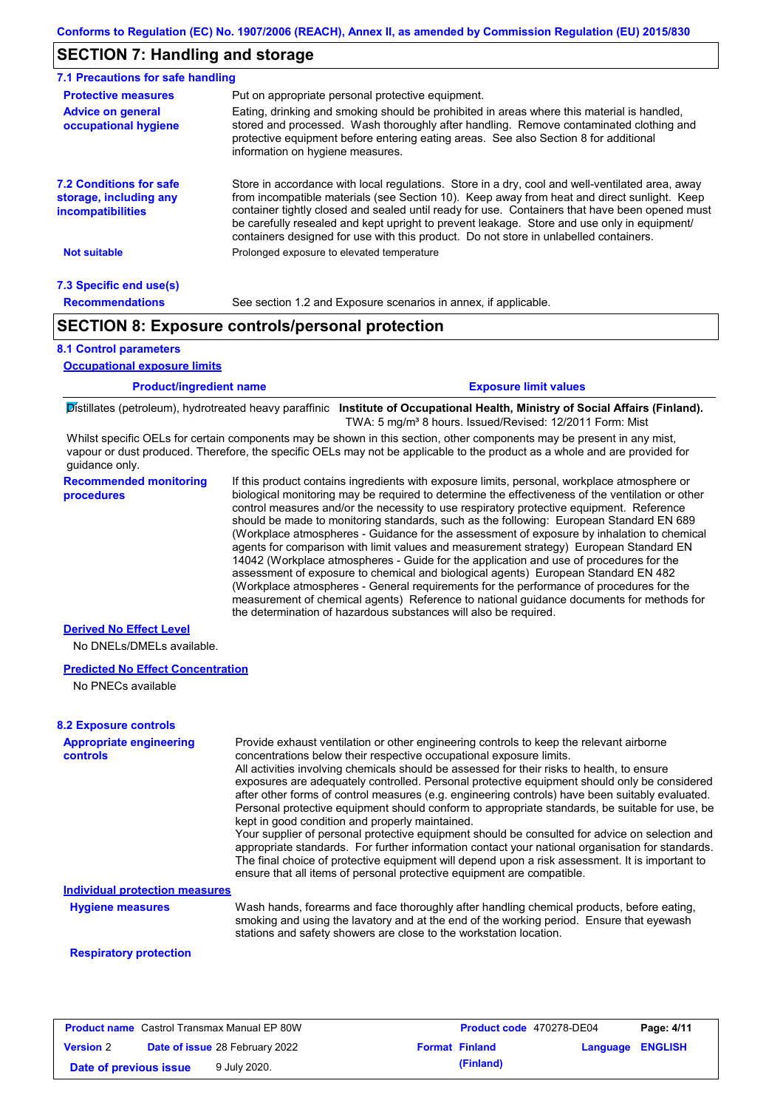## **SECTION 7: Handling and storage**

| 7.1 Precautions for safe handling                                                    |                                                                                                                                                                                                                                                                                                                                                                                                                                                                                          |  |  |  |
|--------------------------------------------------------------------------------------|------------------------------------------------------------------------------------------------------------------------------------------------------------------------------------------------------------------------------------------------------------------------------------------------------------------------------------------------------------------------------------------------------------------------------------------------------------------------------------------|--|--|--|
| <b>Protective measures</b>                                                           | Put on appropriate personal protective equipment.                                                                                                                                                                                                                                                                                                                                                                                                                                        |  |  |  |
| <b>Advice on general</b><br>occupational hygiene                                     | Eating, drinking and smoking should be prohibited in areas where this material is handled,<br>stored and processed. Wash thoroughly after handling. Remove contaminated clothing and<br>protective equipment before entering eating areas. See also Section 8 for additional<br>information on hygiene measures.                                                                                                                                                                         |  |  |  |
| <b>7.2 Conditions for safe</b><br>storage, including any<br><i>incompatibilities</i> | Store in accordance with local requlations. Store in a dry, cool and well-ventilated area, away<br>from incompatible materials (see Section 10). Keep away from heat and direct sunlight. Keep<br>container tightly closed and sealed until ready for use. Containers that have been opened must<br>be carefully resealed and kept upright to prevent leakage. Store and use only in equipment/<br>containers designed for use with this product. Do not store in unlabelled containers. |  |  |  |
| <b>Not suitable</b>                                                                  | Prolonged exposure to elevated temperature                                                                                                                                                                                                                                                                                                                                                                                                                                               |  |  |  |
| 7.3 Specific end use(s)                                                              |                                                                                                                                                                                                                                                                                                                                                                                                                                                                                          |  |  |  |
| <b>Recommendations</b>                                                               | See section 1.2 and Exposure scenarios in annex, if applicable.                                                                                                                                                                                                                                                                                                                                                                                                                          |  |  |  |
| <b>SECTION 8: Exposure controls/personal protection</b>                              |                                                                                                                                                                                                                                                                                                                                                                                                                                                                                          |  |  |  |

#### **8.1 Control parameters**

**Occupational exposure limits**

| <b>Product/ingredient name</b> | <b>Exposure limit values</b> |
|--------------------------------|------------------------------|
|                                |                              |

Distillates (petroleum), hydrotreated heavy paraffinic **Institute of Occupational Health, Ministry of Social Affairs (Finland).** TWA: 5 mg/m<sup>3</sup> 8 hours. Issued/Revised: 12/2011 Form: Mist

Whilst specific OELs for certain components may be shown in this section, other components may be present in any mist, vapour or dust produced. Therefore, the specific OELs may not be applicable to the product as a whole and are provided for guidance only.

**Recommended monitoring procedures** If this product contains ingredients with exposure limits, personal, workplace atmosphere or biological monitoring may be required to determine the effectiveness of the ventilation or other control measures and/or the necessity to use respiratory protective equipment. Reference should be made to monitoring standards, such as the following: European Standard EN 689 (Workplace atmospheres - Guidance for the assessment of exposure by inhalation to chemical agents for comparison with limit values and measurement strategy) European Standard EN 14042 (Workplace atmospheres - Guide for the application and use of procedures for the assessment of exposure to chemical and biological agents) European Standard EN 482 (Workplace atmospheres - General requirements for the performance of procedures for the measurement of chemical agents) Reference to national guidance documents for methods for the determination of hazardous substances will also be required.

#### **Derived No Effect Level**

No DNELs/DMELs available.

#### **Predicted No Effect Concentration**

No PNECs available

| <b>8.2 Exposure controls</b>               |                                                                                                                                                                                                                                                                                                                                                                                                                                                                                                                                                                                                                                                                                                                                                                                                                                                                                                                                                                                                         |
|--------------------------------------------|---------------------------------------------------------------------------------------------------------------------------------------------------------------------------------------------------------------------------------------------------------------------------------------------------------------------------------------------------------------------------------------------------------------------------------------------------------------------------------------------------------------------------------------------------------------------------------------------------------------------------------------------------------------------------------------------------------------------------------------------------------------------------------------------------------------------------------------------------------------------------------------------------------------------------------------------------------------------------------------------------------|
| <b>Appropriate engineering</b><br>controls | Provide exhaust ventilation or other engineering controls to keep the relevant airborne<br>concentrations below their respective occupational exposure limits.<br>All activities involving chemicals should be assessed for their risks to health, to ensure<br>exposures are adequately controlled. Personal protective equipment should only be considered<br>after other forms of control measures (e.g. engineering controls) have been suitably evaluated.<br>Personal protective equipment should conform to appropriate standards, be suitable for use, be<br>kept in good condition and properly maintained.<br>Your supplier of personal protective equipment should be consulted for advice on selection and<br>appropriate standards. For further information contact your national organisation for standards.<br>The final choice of protective equipment will depend upon a risk assessment. It is important to<br>ensure that all items of personal protective equipment are compatible. |
| <b>Individual protection measures</b>      |                                                                                                                                                                                                                                                                                                                                                                                                                                                                                                                                                                                                                                                                                                                                                                                                                                                                                                                                                                                                         |
| <b>Hygiene measures</b>                    | Wash hands, forearms and face thoroughly after handling chemical products, before eating,<br>smoking and using the lavatory and at the end of the working period. Ensure that eyewash<br>stations and safety showers are close to the workstation location.                                                                                                                                                                                                                                                                                                                                                                                                                                                                                                                                                                                                                                                                                                                                             |

#### **Respiratory protection**

| <b>Product name</b> Castrol Transmax Manual EP 80W |  | Product code 470278-DE04              |                       | Page: 4/11              |  |
|----------------------------------------------------|--|---------------------------------------|-----------------------|-------------------------|--|
| <b>Version 2</b>                                   |  | <b>Date of issue 28 February 2022</b> | <b>Format Finland</b> | <b>Language ENGLISH</b> |  |
| Date of previous issue                             |  | 9 July 2020.                          | (Finland)             |                         |  |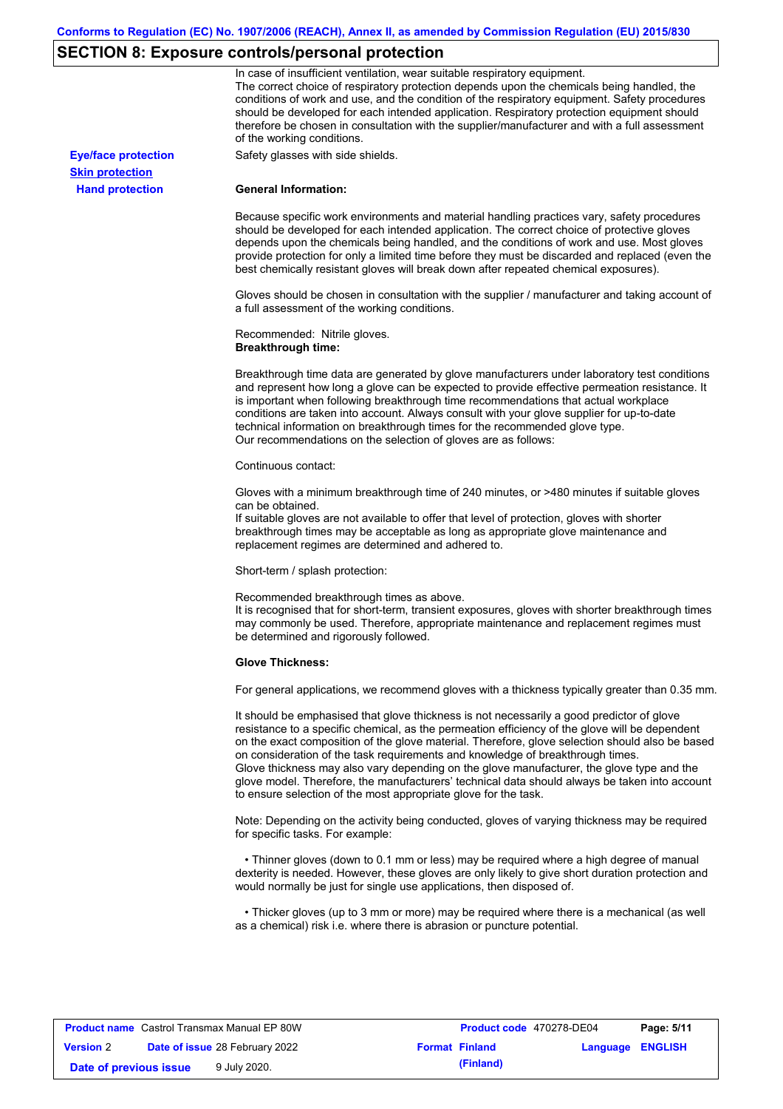# **SECTION 8: Exposure controls/personal protection**

|                            | In case of insufficient ventilation, wear suitable respiratory equipment.<br>The correct choice of respiratory protection depends upon the chemicals being handled, the<br>conditions of work and use, and the condition of the respiratory equipment. Safety procedures<br>should be developed for each intended application. Respiratory protection equipment should<br>therefore be chosen in consultation with the supplier/manufacturer and with a full assessment<br>of the working conditions.                                                                                                                                             |
|----------------------------|---------------------------------------------------------------------------------------------------------------------------------------------------------------------------------------------------------------------------------------------------------------------------------------------------------------------------------------------------------------------------------------------------------------------------------------------------------------------------------------------------------------------------------------------------------------------------------------------------------------------------------------------------|
| <b>Eye/face protection</b> | Safety glasses with side shields.                                                                                                                                                                                                                                                                                                                                                                                                                                                                                                                                                                                                                 |
| <b>Skin protection</b>     |                                                                                                                                                                                                                                                                                                                                                                                                                                                                                                                                                                                                                                                   |
| <b>Hand protection</b>     | <b>General Information:</b>                                                                                                                                                                                                                                                                                                                                                                                                                                                                                                                                                                                                                       |
|                            | Because specific work environments and material handling practices vary, safety procedures<br>should be developed for each intended application. The correct choice of protective gloves<br>depends upon the chemicals being handled, and the conditions of work and use. Most gloves<br>provide protection for only a limited time before they must be discarded and replaced (even the<br>best chemically resistant gloves will break down after repeated chemical exposures).                                                                                                                                                                  |
|                            | Gloves should be chosen in consultation with the supplier / manufacturer and taking account of<br>a full assessment of the working conditions.                                                                                                                                                                                                                                                                                                                                                                                                                                                                                                    |
|                            | Recommended: Nitrile gloves.<br><b>Breakthrough time:</b>                                                                                                                                                                                                                                                                                                                                                                                                                                                                                                                                                                                         |
|                            | Breakthrough time data are generated by glove manufacturers under laboratory test conditions<br>and represent how long a glove can be expected to provide effective permeation resistance. It<br>is important when following breakthrough time recommendations that actual workplace<br>conditions are taken into account. Always consult with your glove supplier for up-to-date<br>technical information on breakthrough times for the recommended glove type.<br>Our recommendations on the selection of gloves are as follows:                                                                                                                |
|                            | Continuous contact:                                                                                                                                                                                                                                                                                                                                                                                                                                                                                                                                                                                                                               |
|                            | Gloves with a minimum breakthrough time of 240 minutes, or >480 minutes if suitable gloves<br>can be obtained.<br>If suitable gloves are not available to offer that level of protection, gloves with shorter<br>breakthrough times may be acceptable as long as appropriate glove maintenance and<br>replacement regimes are determined and adhered to.                                                                                                                                                                                                                                                                                          |
|                            | Short-term / splash protection:                                                                                                                                                                                                                                                                                                                                                                                                                                                                                                                                                                                                                   |
|                            | Recommended breakthrough times as above.<br>It is recognised that for short-term, transient exposures, gloves with shorter breakthrough times<br>may commonly be used. Therefore, appropriate maintenance and replacement regimes must<br>be determined and rigorously followed.                                                                                                                                                                                                                                                                                                                                                                  |
|                            | <b>Glove Thickness:</b>                                                                                                                                                                                                                                                                                                                                                                                                                                                                                                                                                                                                                           |
|                            | For general applications, we recommend gloves with a thickness typically greater than 0.35 mm.                                                                                                                                                                                                                                                                                                                                                                                                                                                                                                                                                    |
|                            | It should be emphasised that glove thickness is not necessarily a good predictor of glove<br>resistance to a specific chemical, as the permeation efficiency of the glove will be dependent<br>on the exact composition of the glove material. Therefore, glove selection should also be based<br>on consideration of the task requirements and knowledge of breakthrough times.<br>Glove thickness may also vary depending on the glove manufacturer, the glove type and the<br>glove model. Therefore, the manufacturers' technical data should always be taken into account<br>to ensure selection of the most appropriate glove for the task. |
|                            | Note: Depending on the activity being conducted, gloves of varying thickness may be required<br>for specific tasks. For example:                                                                                                                                                                                                                                                                                                                                                                                                                                                                                                                  |
|                            | • Thinner gloves (down to 0.1 mm or less) may be required where a high degree of manual<br>dexterity is needed. However, these gloves are only likely to give short duration protection and<br>would normally be just for single use applications, then disposed of.                                                                                                                                                                                                                                                                                                                                                                              |
|                            | • Thicker gloves (up to 3 mm or more) may be required where there is a mechanical (as well<br>as a chemical) risk i.e. where there is abrasion or puncture potential.                                                                                                                                                                                                                                                                                                                                                                                                                                                                             |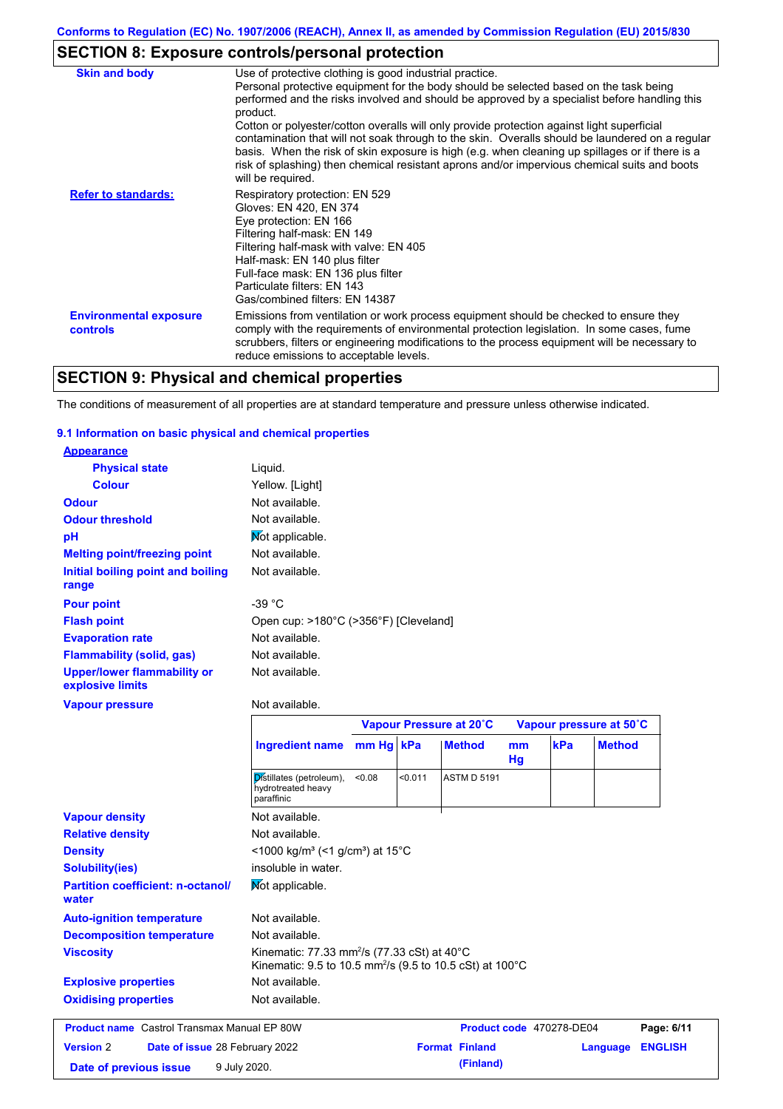# **SECTION 8: Exposure controls/personal protection**

| <b>Skin and body</b>                             | Use of protective clothing is good industrial practice.                                                                                                                                                                                                                                                                                                                                                               |
|--------------------------------------------------|-----------------------------------------------------------------------------------------------------------------------------------------------------------------------------------------------------------------------------------------------------------------------------------------------------------------------------------------------------------------------------------------------------------------------|
|                                                  | Personal protective equipment for the body should be selected based on the task being<br>performed and the risks involved and should be approved by a specialist before handling this<br>product.                                                                                                                                                                                                                     |
|                                                  | Cotton or polyester/cotton overalls will only provide protection against light superficial<br>contamination that will not soak through to the skin. Overalls should be laundered on a regular<br>basis. When the risk of skin exposure is high (e.g. when cleaning up spillages or if there is a<br>risk of splashing) then chemical resistant aprons and/or impervious chemical suits and boots<br>will be required. |
| <b>Refer to standards:</b>                       | Respiratory protection: EN 529<br>Gloves: EN 420, EN 374<br>Eye protection: EN 166<br>Filtering half-mask: EN 149<br>Filtering half-mask with valve: EN 405<br>Half-mask: EN 140 plus filter<br>Full-face mask: EN 136 plus filter<br>Particulate filters: EN 143<br>Gas/combined filters: EN 14387                                                                                                                   |
| <b>Environmental exposure</b><br><b>controls</b> | Emissions from ventilation or work process equipment should be checked to ensure they<br>comply with the requirements of environmental protection legislation. In some cases, fume<br>scrubbers, filters or engineering modifications to the process equipment will be necessary to<br>reduce emissions to acceptable levels.                                                                                         |

# **SECTION 9: Physical and chemical properties**

The conditions of measurement of all properties are at standard temperature and pressure unless otherwise indicated.

### **9.1 Information on basic physical and chemical properties**

| <b>Appearance</b>                                      |                                                                      |                         |         |                    |                         |     |               |
|--------------------------------------------------------|----------------------------------------------------------------------|-------------------------|---------|--------------------|-------------------------|-----|---------------|
| <b>Physical state</b>                                  | Liquid.                                                              |                         |         |                    |                         |     |               |
| <b>Colour</b>                                          | Yellow. [Light]                                                      |                         |         |                    |                         |     |               |
| <b>Odour</b>                                           | Not available.                                                       |                         |         |                    |                         |     |               |
| <b>Odour threshold</b>                                 | Not available.                                                       |                         |         |                    |                         |     |               |
| pH                                                     | Mot applicable.                                                      |                         |         |                    |                         |     |               |
| <b>Melting point/freezing point</b>                    | Not available.                                                       |                         |         |                    |                         |     |               |
| Initial boiling point and boiling<br>range             | Not available.                                                       |                         |         |                    |                         |     |               |
| <b>Pour point</b>                                      | -39 °C                                                               |                         |         |                    |                         |     |               |
| <b>Flash point</b>                                     | Open cup: >180°C (>356°F) [Cleveland]                                |                         |         |                    |                         |     |               |
| <b>Evaporation rate</b>                                | Not available.                                                       |                         |         |                    |                         |     |               |
| <b>Flammability (solid, gas)</b>                       | Not available.                                                       |                         |         |                    |                         |     |               |
| <b>Upper/lower flammability or</b><br>explosive limits | Not available.                                                       |                         |         |                    |                         |     |               |
| <b>Vapour pressure</b>                                 | Not available.                                                       |                         |         |                    |                         |     |               |
|                                                        |                                                                      | Vapour Pressure at 20°C |         |                    | Vapour pressure at 50°C |     |               |
|                                                        | <b>Ingredient name</b>                                               | mm Hg kPa               |         | <b>Method</b>      | mm<br>Hg                | kPa | <b>Method</b> |
|                                                        | Distillates (petroleum),<br>hydrotreated heavy<br>paraffinic         | <0.08                   | < 0.011 | <b>ASTM D 5191</b> |                         |     |               |
| <b>Vapour density</b>                                  | Not available.                                                       |                         |         |                    |                         |     |               |
| <b>Relative density</b>                                | Not available.                                                       |                         |         |                    |                         |     |               |
| <b>Density</b>                                         | <1000 kg/m <sup>3</sup> (<1 g/cm <sup>3</sup> ) at 15 <sup>°</sup> C |                         |         |                    |                         |     |               |
| <b>Solubility(ies)</b>                                 | insoluble in water.                                                  |                         |         |                    |                         |     |               |
| <b>Partition coefficient: n-octanol/</b><br>water      | Not applicable.                                                      |                         |         |                    |                         |     |               |
| <b>Auto-ignition temperature</b>                       | Not available.                                                       |                         |         |                    |                         |     |               |
| <b>Decomposition temperature</b>                       | Not available.                                                       |                         |         |                    |                         |     |               |

**Viscosity** Kinematic: 77.33 mm<sup>2</sup> /s (77.33 cSt) at 40°C

Not available. Kinematic: 9.5 to 10.5 mm<sup>2</sup> /s (9.5 to 10.5 cSt) at 100°C **Explosive properties Oxidising properties** Not available. **Product name** Castrol Transmax Manual EP 80W **Product code** 470278-DE04 **Page: 6/11 Version** 2 **Date of issue** 28 February 2022 **Format Finland Example 28 February 2022 Format Finland Language ENGLISH Date of previous issue** 9 July 2020.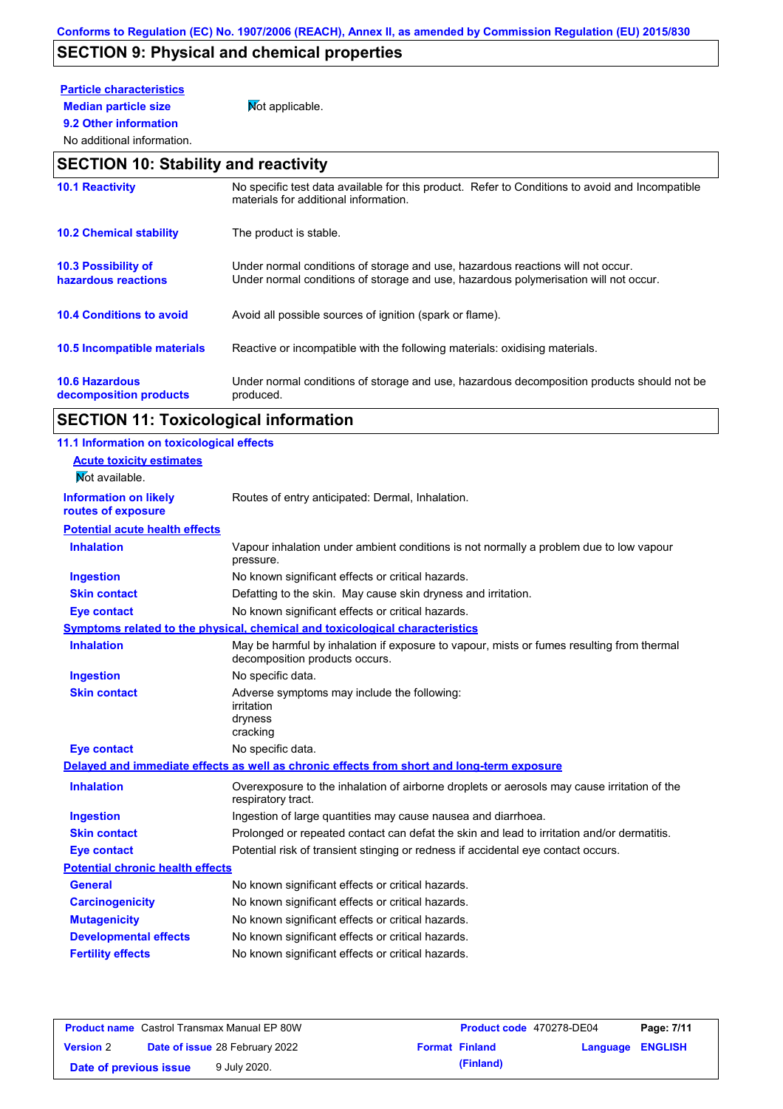# **SECTION 9: Physical and chemical properties**

# **Particle characteristics**

**9.2 Other information**

**Median particle size** Not applicable.

## No additional information.

## **SECTION 10: Stability and reactivity**

| <b>10.1 Reactivity</b>                            | No specific test data available for this product. Refer to Conditions to avoid and Incompatible<br>materials for additional information.                                |
|---------------------------------------------------|-------------------------------------------------------------------------------------------------------------------------------------------------------------------------|
| <b>10.2 Chemical stability</b>                    | The product is stable.                                                                                                                                                  |
| <b>10.3 Possibility of</b><br>hazardous reactions | Under normal conditions of storage and use, hazardous reactions will not occur.<br>Under normal conditions of storage and use, hazardous polymerisation will not occur. |
| <b>10.4 Conditions to avoid</b>                   | Avoid all possible sources of ignition (spark or flame).                                                                                                                |
| 10.5 Incompatible materials                       | Reactive or incompatible with the following materials: oxidising materials.                                                                                             |
| <b>10.6 Hazardous</b><br>decomposition products   | Under normal conditions of storage and use, hazardous decomposition products should not be<br>produced.                                                                 |

# **SECTION 11: Toxicological information**

| 11.1 Information on toxicological effects |                                                                                                                             |
|-------------------------------------------|-----------------------------------------------------------------------------------------------------------------------------|
| <b>Acute toxicity estimates</b>           |                                                                                                                             |
| Not available.                            |                                                                                                                             |
| <b>Information on likely</b>              | Routes of entry anticipated: Dermal, Inhalation.                                                                            |
| routes of exposure                        |                                                                                                                             |
| <b>Potential acute health effects</b>     |                                                                                                                             |
| <b>Inhalation</b>                         | Vapour inhalation under ambient conditions is not normally a problem due to low vapour<br>pressure.                         |
| <b>Ingestion</b>                          | No known significant effects or critical hazards.                                                                           |
| <b>Skin contact</b>                       | Defatting to the skin. May cause skin dryness and irritation.                                                               |
| <b>Eye contact</b>                        | No known significant effects or critical hazards.                                                                           |
|                                           | Symptoms related to the physical, chemical and toxicological characteristics                                                |
| <b>Inhalation</b>                         | May be harmful by inhalation if exposure to vapour, mists or fumes resulting from thermal<br>decomposition products occurs. |
| <b>Ingestion</b>                          | No specific data.                                                                                                           |
| <b>Skin contact</b>                       | Adverse symptoms may include the following:<br>irritation<br>dryness<br>cracking                                            |
| <b>Eye contact</b>                        | No specific data.                                                                                                           |
|                                           | Delayed and immediate effects as well as chronic effects from short and long-term exposure                                  |
| <b>Inhalation</b>                         | Overexposure to the inhalation of airborne droplets or aerosols may cause irritation of the<br>respiratory tract.           |
| <b>Ingestion</b>                          | Ingestion of large quantities may cause nausea and diarrhoea.                                                               |
| <b>Skin contact</b>                       | Prolonged or repeated contact can defat the skin and lead to irritation and/or dermatitis.                                  |
| <b>Eye contact</b>                        | Potential risk of transient stinging or redness if accidental eye contact occurs.                                           |
| <b>Potential chronic health effects</b>   |                                                                                                                             |
| <b>General</b>                            | No known significant effects or critical hazards.                                                                           |
| <b>Carcinogenicity</b>                    | No known significant effects or critical hazards.                                                                           |
| <b>Mutagenicity</b>                       | No known significant effects or critical hazards.                                                                           |
| <b>Developmental effects</b>              | No known significant effects or critical hazards.                                                                           |
| <b>Fertility effects</b>                  | No known significant effects or critical hazards.                                                                           |
|                                           |                                                                                                                             |

|                        | <b>Product name</b> Castrol Transmax Manual EP 80W | <b>Product code</b> 470278-DE04 |                         | Page: 7/11 |
|------------------------|----------------------------------------------------|---------------------------------|-------------------------|------------|
| <b>Version 2</b>       | <b>Date of issue 28 February 2022</b>              | <b>Format Finland</b>           | <b>Language ENGLISH</b> |            |
| Date of previous issue | 9 July 2020.                                       | (Finland)                       |                         |            |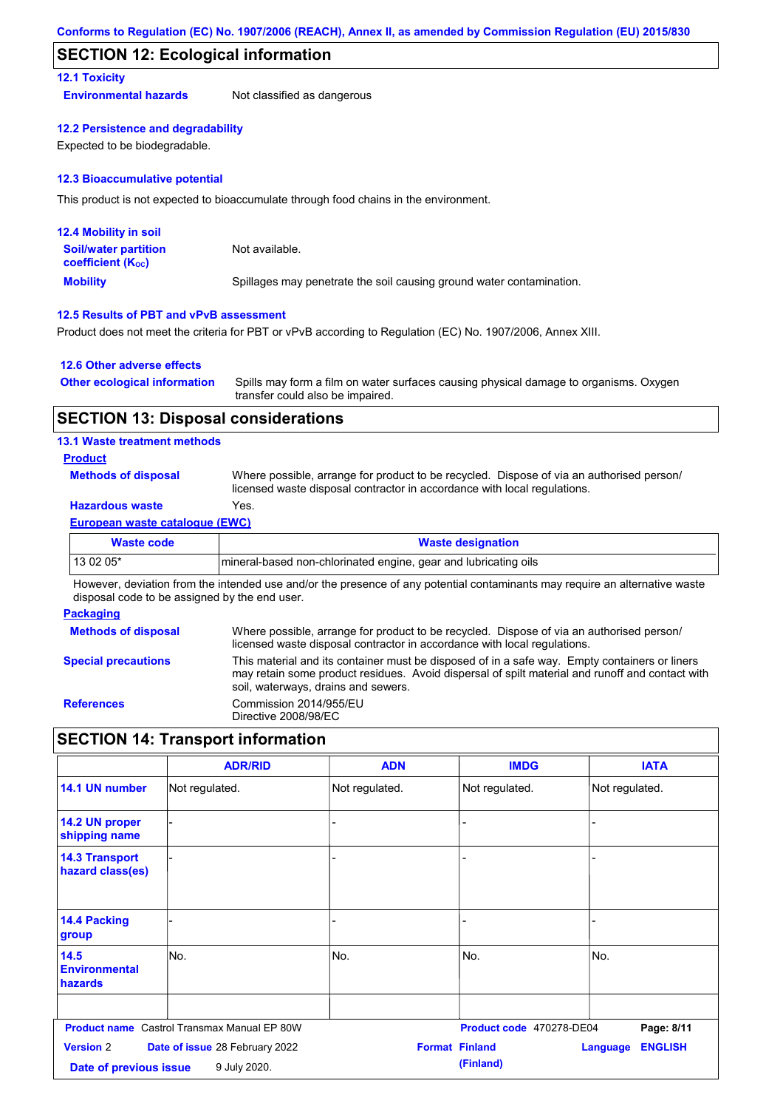## **SECTION 12: Ecological information**

## **12.1 Toxicity**

**Environmental hazards** Not classified as dangerous

#### **12.2 Persistence and degradability**

Expected to be biodegradable.

#### **12.3 Bioaccumulative potential**

This product is not expected to bioaccumulate through food chains in the environment.

| <b>12.4 Mobility in soil</b>                                  |                                                                      |
|---------------------------------------------------------------|----------------------------------------------------------------------|
| <b>Soil/water partition</b><br>coefficient (K <sub>oc</sub> ) | Not available.                                                       |
| <b>Mobility</b>                                               | Spillages may penetrate the soil causing ground water contamination. |

## **12.5 Results of PBT and vPvB assessment**

Product does not meet the criteria for PBT or vPvB according to Regulation (EC) No. 1907/2006, Annex XIII.

### **12.6 Other adverse effects**

| <b>Other ecological information</b> | Spills may form a film on water surfaces causing physical damage to organisms. Oxygen |
|-------------------------------------|---------------------------------------------------------------------------------------|
|                                     | transfer could also be impaired.                                                      |

## **SECTION 13: Disposal considerations**

### **13.1 Waste treatment methods**

### **Product**

**Methods of disposal**

Where possible, arrange for product to be recycled. Dispose of via an authorised person/ licensed waste disposal contractor in accordance with local regulations.

## **Hazardous waste** Yes.

#### **European waste catalogue (EWC)**

| Waste code | <b>Waste designation</b>                                        |
|------------|-----------------------------------------------------------------|
| 13 02 05*  | mineral-based non-chlorinated engine, gear and lubricating oils |

However, deviation from the intended use and/or the presence of any potential contaminants may require an alternative waste disposal code to be assigned by the end user.

#### **Packaging**

| <b>Methods of disposal</b> | Where possible, arrange for product to be recycled. Dispose of via an authorised person/<br>licensed waste disposal contractor in accordance with local regulations.                                                                    |
|----------------------------|-----------------------------------------------------------------------------------------------------------------------------------------------------------------------------------------------------------------------------------------|
| <b>Special precautions</b> | This material and its container must be disposed of in a safe way. Empty containers or liners<br>may retain some product residues. Avoid dispersal of spilt material and runoff and contact with<br>soil, waterways, drains and sewers. |
| <b>References</b>          | Commission 2014/955/EU<br>Directive 2008/98/EC                                                                                                                                                                                          |

## **SECTION 14: Transport information**

|                                            | <b>ADR/RID</b>                                     | <b>ADN</b>     | <b>IMDG</b>                        | <b>IATA</b>                       |
|--------------------------------------------|----------------------------------------------------|----------------|------------------------------------|-----------------------------------|
| 14.1 UN number                             | Not regulated.                                     | Not regulated. | Not regulated.                     | Not regulated.                    |
| 14.2 UN proper<br>shipping name            |                                                    | ٠              |                                    |                                   |
| <b>14.3 Transport</b><br>hazard class(es)  |                                                    |                |                                    |                                   |
| 14.4 Packing<br>group                      |                                                    |                |                                    |                                   |
| 14.5<br><b>Environmental</b><br>hazards    | lNo.                                               | No.            | No.                                | No.                               |
|                                            | <b>Product name</b> Castrol Transmax Manual EP 80W |                | Product code 470278-DE04           | Page: 8/11                        |
| <b>Version 2</b><br>Date of previous issue | Date of issue 28 February 2022<br>9 July 2020.     |                | <b>Format Finland</b><br>(Finland) | <b>ENGLISH</b><br><b>Language</b> |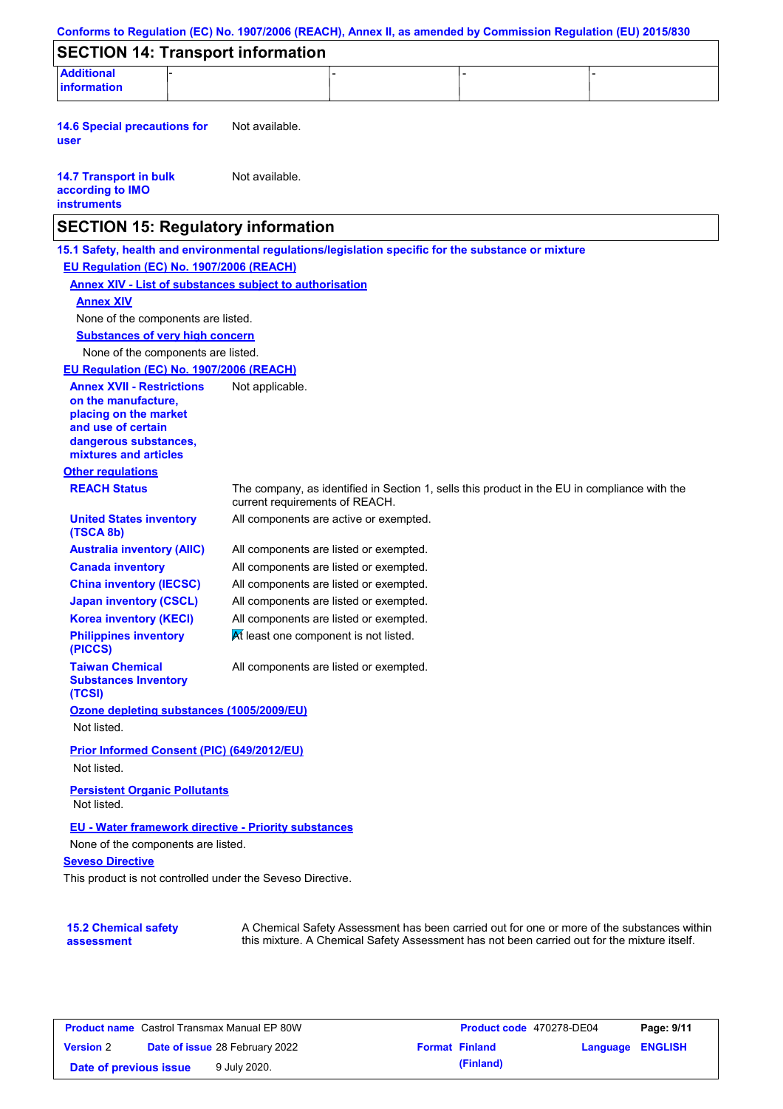| Conforms to Regulation (EC) No. 1907/2006 (REACH), Annex II, as amended by Commission Regulation (EU) 2015/830                  |                                        |                                                                                                                                                                                           |  |
|---------------------------------------------------------------------------------------------------------------------------------|----------------------------------------|-------------------------------------------------------------------------------------------------------------------------------------------------------------------------------------------|--|
| <b>SECTION 14: Transport information</b>                                                                                        |                                        |                                                                                                                                                                                           |  |
| <b>Additional</b><br><b>information</b>                                                                                         |                                        |                                                                                                                                                                                           |  |
|                                                                                                                                 |                                        |                                                                                                                                                                                           |  |
| <b>14.6 Special precautions for</b><br>user                                                                                     | Not available.                         |                                                                                                                                                                                           |  |
| <b>14.7 Transport in bulk</b><br>according to IMO<br><b>instruments</b>                                                         | Not available.                         |                                                                                                                                                                                           |  |
| <b>SECTION 15: Regulatory information</b>                                                                                       |                                        |                                                                                                                                                                                           |  |
| 15.1 Safety, health and environmental regulations/legislation specific for the substance or mixture                             |                                        |                                                                                                                                                                                           |  |
| EU Regulation (EC) No. 1907/2006 (REACH)                                                                                        |                                        |                                                                                                                                                                                           |  |
| <b>Annex XIV - List of substances subject to authorisation</b>                                                                  |                                        |                                                                                                                                                                                           |  |
| <b>Annex XIV</b>                                                                                                                |                                        |                                                                                                                                                                                           |  |
| None of the components are listed.                                                                                              |                                        |                                                                                                                                                                                           |  |
| <b>Substances of very high concern</b>                                                                                          |                                        |                                                                                                                                                                                           |  |
| None of the components are listed.                                                                                              |                                        |                                                                                                                                                                                           |  |
| EU Regulation (EC) No. 1907/2006 (REACH)                                                                                        |                                        |                                                                                                                                                                                           |  |
| <b>Annex XVII - Restrictions</b><br>on the manufacture.<br>placing on the market<br>and use of certain<br>dangerous substances, | Not applicable.                        |                                                                                                                                                                                           |  |
| mixtures and articles                                                                                                           |                                        |                                                                                                                                                                                           |  |
| <b>Other regulations</b>                                                                                                        |                                        |                                                                                                                                                                                           |  |
| <b>REACH Status</b>                                                                                                             | current requirements of REACH.         | The company, as identified in Section 1, sells this product in the EU in compliance with the                                                                                              |  |
| <b>United States inventory</b><br>(TSCA 8b)                                                                                     | All components are active or exempted. |                                                                                                                                                                                           |  |
| <b>Australia inventory (AIIC)</b>                                                                                               | All components are listed or exempted. |                                                                                                                                                                                           |  |
| <b>Canada inventory</b>                                                                                                         | All components are listed or exempted. |                                                                                                                                                                                           |  |
| <b>China inventory (IECSC)</b>                                                                                                  | All components are listed or exempted. |                                                                                                                                                                                           |  |
| <b>Japan inventory (CSCL)</b>                                                                                                   | All components are listed or exempted. |                                                                                                                                                                                           |  |
| <b>Korea inventory (KECI)</b>                                                                                                   | All components are listed or exempted. |                                                                                                                                                                                           |  |
| <b>Philippines inventory</b><br>(PICCS)                                                                                         | At least one component is not listed.  |                                                                                                                                                                                           |  |
| <b>Taiwan Chemical</b><br><b>Substances Inventory</b><br>(TCSI)                                                                 | All components are listed or exempted. |                                                                                                                                                                                           |  |
| Ozone depleting substances (1005/2009/EU)                                                                                       |                                        |                                                                                                                                                                                           |  |
| Not listed.                                                                                                                     |                                        |                                                                                                                                                                                           |  |
| Prior Informed Consent (PIC) (649/2012/EU)                                                                                      |                                        |                                                                                                                                                                                           |  |
| Not listed.                                                                                                                     |                                        |                                                                                                                                                                                           |  |
| <b>Persistent Organic Pollutants</b><br>Not listed.                                                                             |                                        |                                                                                                                                                                                           |  |
| EU - Water framework directive - Priority substances                                                                            |                                        |                                                                                                                                                                                           |  |
| None of the components are listed.                                                                                              |                                        |                                                                                                                                                                                           |  |
| <b>Seveso Directive</b>                                                                                                         |                                        |                                                                                                                                                                                           |  |
| This product is not controlled under the Seveso Directive.                                                                      |                                        |                                                                                                                                                                                           |  |
|                                                                                                                                 |                                        |                                                                                                                                                                                           |  |
| <b>15.2 Chemical safety</b><br>assessment                                                                                       |                                        | A Chemical Safety Assessment has been carried out for one or more of the substances within<br>this mixture. A Chemical Safety Assessment has not been carried out for the mixture itself. |  |

| <b>Product name</b> Castrol Transmax Manual EP 80W |  | <b>Product code</b> 470278-DE04       |  | Page: 9/11            |                  |  |
|----------------------------------------------------|--|---------------------------------------|--|-----------------------|------------------|--|
| <b>Version 2</b>                                   |  | <b>Date of issue 28 February 2022</b> |  | <b>Format Finland</b> | Language ENGLISH |  |
| Date of previous issue                             |  | 9 July 2020.                          |  | (Finland)             |                  |  |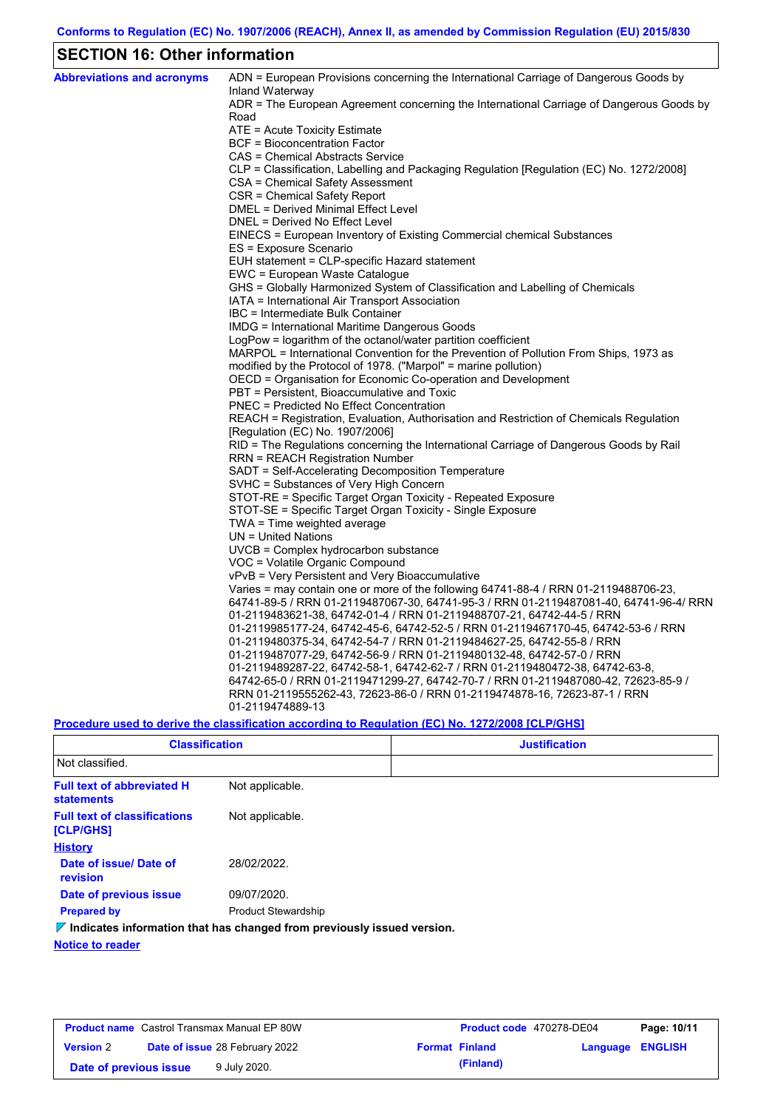# **SECTION 16: Other information**

| <b>Abbreviations and acronyms</b> | ADN = European Provisions concerning the International Carriage of Dangerous Goods by<br>Inland Waterway |
|-----------------------------------|----------------------------------------------------------------------------------------------------------|
|                                   | ADR = The European Agreement concerning the International Carriage of Dangerous Goods by<br>Road         |
|                                   | ATE = Acute Toxicity Estimate                                                                            |
|                                   | <b>BCF</b> = Bioconcentration Factor                                                                     |
|                                   | CAS = Chemical Abstracts Service                                                                         |
|                                   | CLP = Classification, Labelling and Packaging Regulation [Regulation (EC) No. 1272/2008]                 |
|                                   | CSA = Chemical Safety Assessment                                                                         |
|                                   | CSR = Chemical Safety Report                                                                             |
|                                   | <b>DMEL = Derived Minimal Effect Level</b>                                                               |
|                                   | DNEL = Derived No Effect Level                                                                           |
|                                   | EINECS = European Inventory of Existing Commercial chemical Substances                                   |
|                                   | ES = Exposure Scenario                                                                                   |
|                                   | EUH statement = CLP-specific Hazard statement                                                            |
|                                   | EWC = European Waste Catalogue                                                                           |
|                                   | GHS = Globally Harmonized System of Classification and Labelling of Chemicals                            |
|                                   | IATA = International Air Transport Association                                                           |
|                                   | IBC = Intermediate Bulk Container                                                                        |
|                                   | IMDG = International Maritime Dangerous Goods                                                            |
|                                   | LogPow = logarithm of the octanol/water partition coefficient                                            |
|                                   | MARPOL = International Convention for the Prevention of Pollution From Ships, 1973 as                    |
|                                   | modified by the Protocol of 1978. ("Marpol" = marine pollution)                                          |
|                                   | OECD = Organisation for Economic Co-operation and Development                                            |
|                                   | PBT = Persistent, Bioaccumulative and Toxic                                                              |
|                                   | <b>PNEC</b> = Predicted No Effect Concentration                                                          |
|                                   | REACH = Registration, Evaluation, Authorisation and Restriction of Chemicals Regulation                  |
|                                   | [Regulation (EC) No. 1907/2006]                                                                          |
|                                   | RID = The Regulations concerning the International Carriage of Dangerous Goods by Rail                   |
|                                   | RRN = REACH Registration Number                                                                          |
|                                   | SADT = Self-Accelerating Decomposition Temperature<br>SVHC = Substances of Very High Concern             |
|                                   | STOT-RE = Specific Target Organ Toxicity - Repeated Exposure                                             |
|                                   | STOT-SE = Specific Target Organ Toxicity - Single Exposure                                               |
|                                   | $TWA = Time$ weighted average                                                                            |
|                                   | $UN = United Nations$                                                                                    |
|                                   | UVCB = Complex hydrocarbon substance                                                                     |
|                                   | VOC = Volatile Organic Compound                                                                          |
|                                   | vPvB = Very Persistent and Very Bioaccumulative                                                          |
|                                   | Varies = may contain one or more of the following $64741-88-4$ / RRN 01-2119488706-23,                   |
|                                   | 64741-89-5 / RRN 01-2119487067-30, 64741-95-3 / RRN 01-2119487081-40, 64741-96-4/ RRN                    |
|                                   | 01-2119483621-38, 64742-01-4 / RRN 01-2119488707-21, 64742-44-5 / RRN                                    |
|                                   | 01-2119985177-24, 64742-45-6, 64742-52-5 / RRN 01-2119467170-45, 64742-53-6 / RRN                        |
|                                   | 01-2119480375-34, 64742-54-7 / RRN 01-2119484627-25, 64742-55-8 / RRN                                    |
|                                   | 01-2119487077-29, 64742-56-9 / RRN 01-2119480132-48, 64742-57-0 / RRN                                    |
|                                   | 01-2119489287-22, 64742-58-1, 64742-62-7 / RRN 01-2119480472-38, 64742-63-8,                             |
|                                   | 64742-65-0 / RRN 01-2119471299-27, 64742-70-7 / RRN 01-2119487080-42, 72623-85-9 /                       |
|                                   | RRN 01-2119555262-43, 72623-86-0 / RRN 01-2119474878-16, 72623-87-1 / RRN                                |
|                                   | 01-2119474889-13                                                                                         |
|                                   |                                                                                                          |

## **Procedure used to derive the classification according to Regulation (EC) No. 1272/2008 [CLP/GHS]**

| <b>Classification</b>                                   |                                                                                 | <b>Justification</b> |
|---------------------------------------------------------|---------------------------------------------------------------------------------|----------------------|
| Not classified.                                         |                                                                                 |                      |
| <b>Full text of abbreviated H</b><br><b>statements</b>  | Not applicable.                                                                 |                      |
| <b>Full text of classifications</b><br><b>[CLP/GHS]</b> | Not applicable.                                                                 |                      |
| <b>History</b>                                          |                                                                                 |                      |
| Date of issue/Date of<br>revision                       | 28/02/2022.                                                                     |                      |
| Date of previous issue                                  | 09/07/2020.                                                                     |                      |
| <b>Prepared by</b>                                      | <b>Product Stewardship</b>                                                      |                      |
|                                                         | $\nabla$ Indicates information that has changed from previously issued version. |                      |
| <b>Notice to reader</b>                                 |                                                                                 |                      |

| <b>Product name</b> Castrol Transmax Manual EP 80W |  | <b>Product code</b> 470278-DE04       |  | Page: 10/11           |                  |  |
|----------------------------------------------------|--|---------------------------------------|--|-----------------------|------------------|--|
| <b>Version 2</b>                                   |  | <b>Date of issue 28 February 2022</b> |  | <b>Format Finland</b> | Language ENGLISH |  |
| Date of previous issue                             |  | 9 July 2020.                          |  | (Finland)             |                  |  |